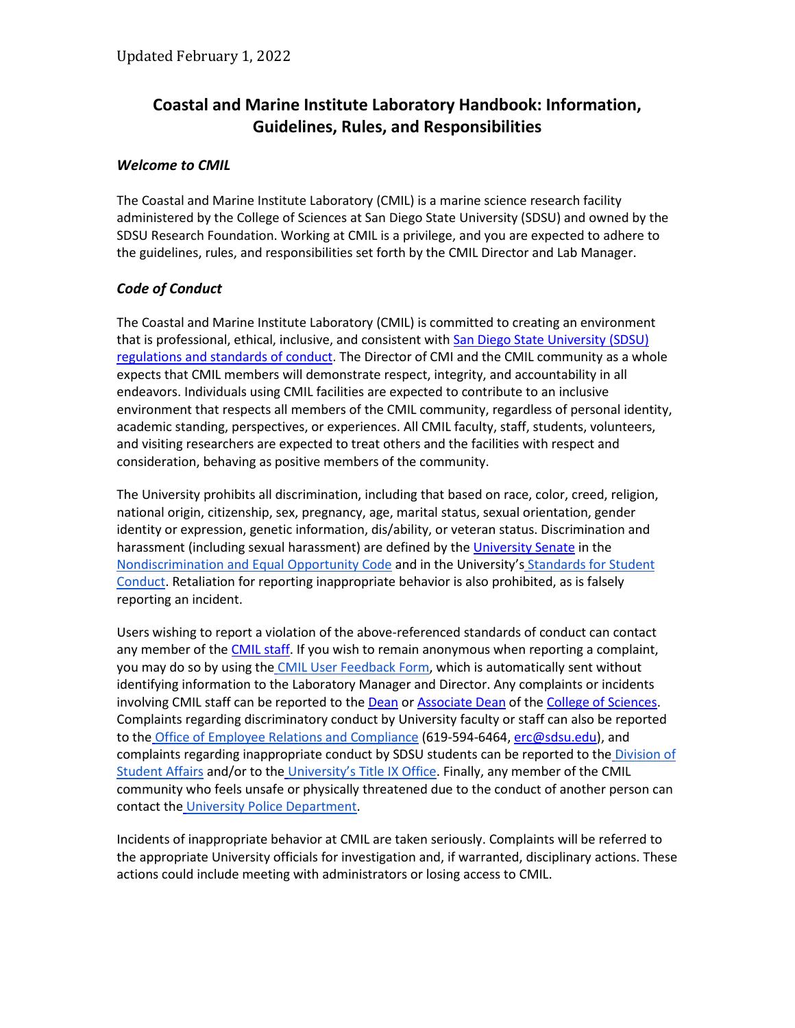# **Coastal and Marine Institute Laboratory Handbook: Information, Guidelines, Rules, and Responsibilities**

# *Welcome to CMIL*

The Coastal and Marine Institute Laboratory (CMIL) is a marine science research facility administered by the College of Sciences at San Diego State University (SDSU) and owned by the SDSU Research Foundation. Working at CMIL is a privilege, and you are expected to adhere to the guidelines, rules, and responsibilities set forth by the CMIL Director and Lab Manager.

# *Code of Conduct*

The Coastal and Marine Institute Laboratory (CMIL) is committed to creating an environment that is professional, ethical, inclusive, and consistent with San Diego State University (SDSU) [regulations and standards of conduct.](https://senate.sdsu.edu/policy-file/policies/codes) The Director of CMI and the CMIL community as a whole expects that CMIL members will demonstrate respect, integrity, and accountability in all endeavors. Individuals using CMIL facilities are expected to contribute to an inclusive environment that respects all members of the CMIL community, regardless of personal identity, academic standing, perspectives, or experiences. All CMIL faculty, staff, students, volunteers, and visiting researchers are expected to treat others and the facilities with respect and consideration, behaving as positive members of the community.

The University prohibits all discrimination, including that based on race, color, creed, religion, national origin, citizenship, sex, pregnancy, age, marital status, sexual orientation, gender identity or expression, genetic information, dis/ability, or veteran status. Discrimination and harassment (including sexual harassment) are defined by th[e University Senate](https://senate.sdsu.edu/) in th[e](https://senate.sdsu.edu/policy-file/policies/codes) [Nondiscrimination and Equal Opportunity Code](https://senate.sdsu.edu/policy-file/policies/codes) and in the University's [Standards for Student](http://csrr.sdsu.edu/student_affairs/srr/conduct.aspx)  [Conduct.](http://csrr.sdsu.edu/student_affairs/srr/conduct.aspx) Retaliation for reporting inappropriate behavior is also prohibited, as is falsely reporting an incident.

Users wishing to report a violation of the above-referenced standards of conduct can contact any member of the [CMIL staff.](https://cmi.sdsu.edu/cmil-staff/) If you wish to remain anonymous when reporting a complaint, you may do so by using th[e](https://cmi.sdsu.edu/forms-and-docs/) [CMIL User Feedback Form,](https://cmi.sdsu.edu/forms-and-docs/) which is automatically sent without identifying information to the Laboratory Manager and Director. Any complaints or incidents involving CMIL staff can be reported to th[e Dean](https://sciences.sdsu.edu/deans-office-personnel/) o[r Associate Dean](https://sciences.sdsu.edu/deans-office-personnel/) of the [College of Sciences.](https://sciences.sdsu.edu/deans-office-personnel/) Complaints regarding discriminatory conduct by University faculty or staff can also be reported to the [Office of Employee Relations and Compliance](http://bfa.sdsu.edu/hr/oerc/) (619-594-6464, [erc@sdsu.edu\)](mailto:erc@sdsu.edu), and complaints r[e](http://newscenter.sdsu.edu/student_affairs/default.aspx)garding inappropriate conduct by SDSU students can be reported to the Division of [Student Affairs](http://newscenter.sdsu.edu/student_affairs/default.aspx) and/or to th[e](https://titleix.sdsu.edu/) [University's Title IX Office.](https://titleix.sdsu.edu/) Finally, any member of the CMIL community who feels unsafe or physically threatened due to the conduct of another person can contact the [University Police Department.](https://police.sdsu.edu/)

Incidents of inappropriate behavior at CMIL are taken seriously. Complaints will be referred to the appropriate University officials for investigation and, if warranted, disciplinary actions. These actions could include meeting with administrators or losing access to CMIL.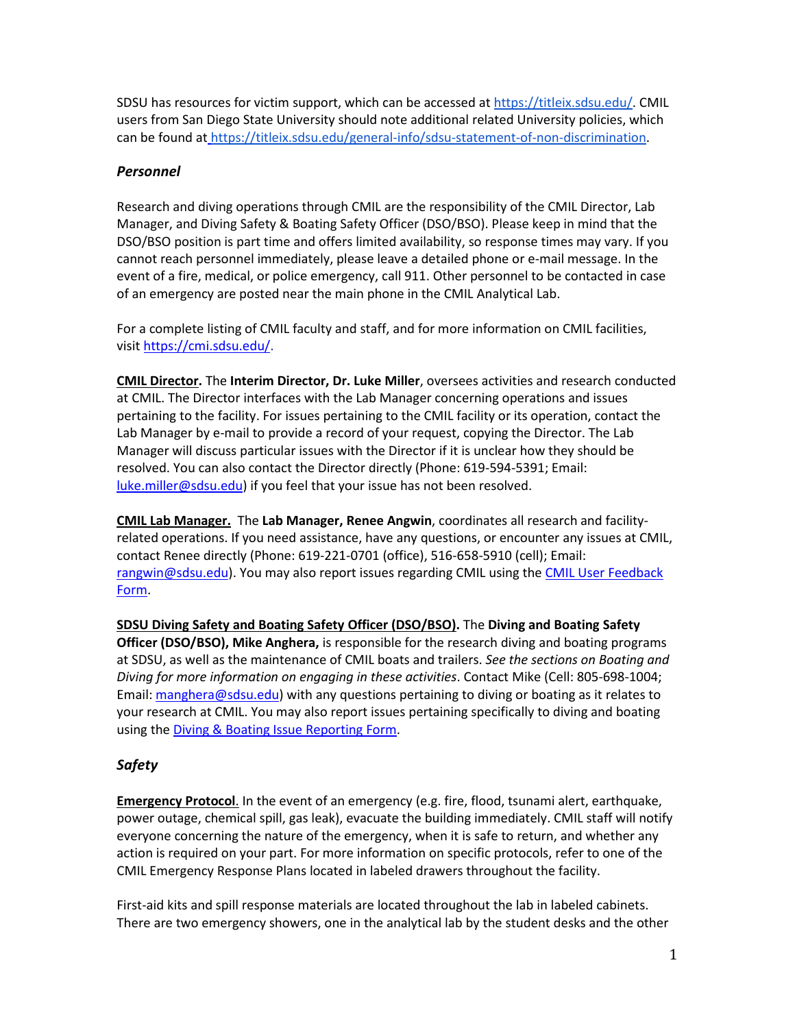SDSU has resources for victim support, which can be accessed at [https://titleix.sdsu.edu/.](https://titleix.sdsu.edu/) CMIL users from San Diego State University should note additional related University policies, which can be found at [https://titleix.sdsu.edu/general-info/sdsu-statement-of-non-discrimination.](https://titleix.sdsu.edu/general-info/sdsu-statement-of-non-discrimination)

# *Personnel*

Research and diving operations through CMIL are the responsibility of the CMIL Director, Lab Manager, and Diving Safety & Boating Safety Officer (DSO/BSO). Please keep in mind that the DSO/BSO position is part time and offers limited availability, so response times may vary. If you cannot reach personnel immediately, please leave a detailed phone or e-mail message. In the event of a fire, medical, or police emergency, call 911. Other personnel to be contacted in case of an emergency are posted near the main phone in the CMIL Analytical Lab.

For a complete listing of CMIL faculty and staff, and for more information on CMIL facilities, visit [https://cmi.sdsu.edu/.](https://cmi.sdsu.edu/)

**CMIL Director.** The **Interim Director, Dr. Luke Miller**, oversees activities and research conducted at CMIL. The Director interfaces with the Lab Manager concerning operations and issues pertaining to the facility. For issues pertaining to the CMIL facility or its operation, contact the Lab Manager by e-mail to provide a record of your request, copying the Director. The Lab Manager will discuss particular issues with the Director if it is unclear how they should be resolved. You can also contact the Director directly (Phone: 619-594-5391; Email: [luke.miller@sdsu.edu\)](mailto:luke.miller@sdsu.edu) if you feel that your issue has not been resolved.

**CMIL Lab Manager.** The **Lab Manager, Renee Angwin**, coordinates all research and facilityrelated operations. If you need assistance, have any questions, or encounter any issues at CMIL, contact Renee directly (Phone: 619-221-0701 (office), 516-658-5910 (cell); Email: [rangwin@sdsu.edu\)](mailto:rangwin@sdsu.edu). You may also report issues regarding CMIL using the [CMIL User Feedback](https://cmi.sdsu.edu/forms-and-docs/)  [Form.](https://cmi.sdsu.edu/forms-and-docs/)

**SDSU Diving Safety and Boating Safety Officer (DSO/BSO).** The **Diving and Boating Safety Officer (DSO/BSO), Mike Anghera,** is responsible for the research diving and boating programs at SDSU, as well as the maintenance of CMIL boats and trailers. *See the sections on Boating and Diving for more information on engaging in these activities*. Contact Mike (Cell: 805-698-1004; Email: [manghera@sdsu.edu\)](mailto:manghera@mail.sdsu.edu) with any questions pertaining to diving or boating as it relates to your research at CMIL. You may also report issues pertaining specifically to diving and boating using th[e Diving & Boating Issue Reporting](https://cmi.sdsu.edu/forms-and-docs/) Form.

# *Safety*

**Emergency Protocol**. In the event of an emergency (e.g. fire, flood, tsunami alert, earthquake, power outage, chemical spill, gas leak), evacuate the building immediately. CMIL staff will notify everyone concerning the nature of the emergency, when it is safe to return, and whether any action is required on your part. For more information on specific protocols, refer to one of the CMIL Emergency Response Plans located in labeled drawers throughout the facility.

First-aid kits and spill response materials are located throughout the lab in labeled cabinets. There are two emergency showers, one in the analytical lab by the student desks and the other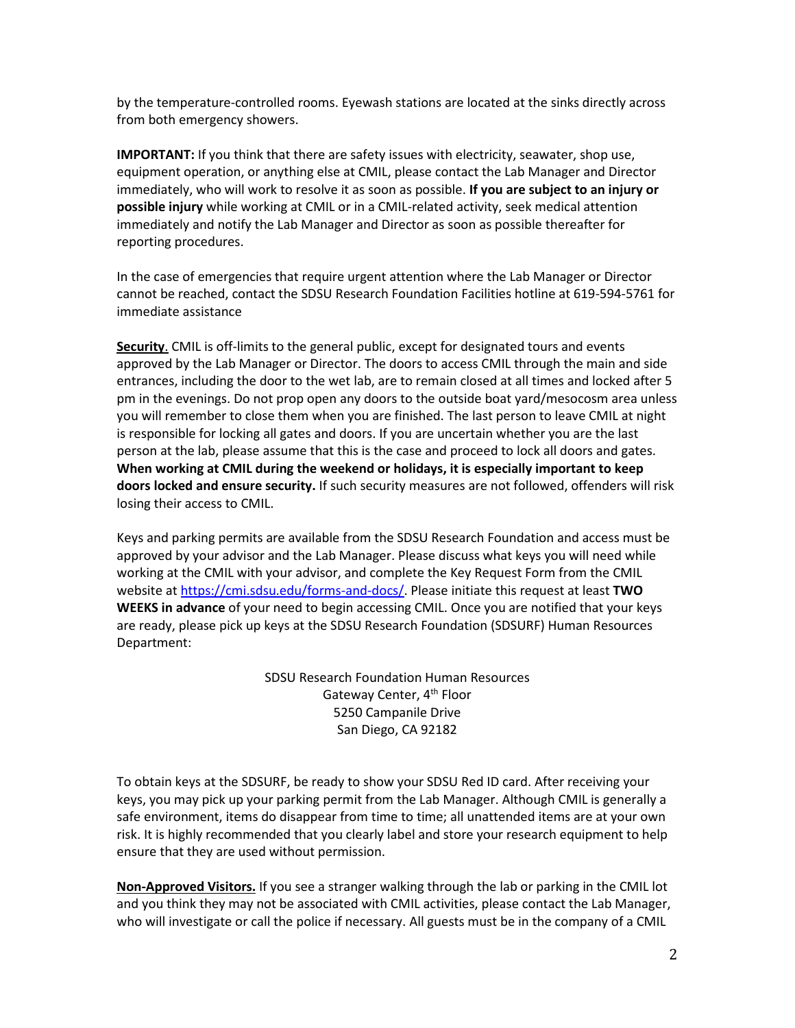by the temperature-controlled rooms. Eyewash stations are located at the sinks directly across from both emergency showers.

**IMPORTANT:** If you think that there are safety issues with electricity, seawater, shop use, equipment operation, or anything else at CMIL, please contact the Lab Manager and Director immediately, who will work to resolve it as soon as possible. **If you are subject to an injury or possible injury** while working at CMIL or in a CMIL-related activity, seek medical attention immediately and notify the Lab Manager and Director as soon as possible thereafter for reporting procedures.

In the case of emergencies that require urgent attention where the Lab Manager or Director cannot be reached, contact the SDSU Research Foundation Facilities hotline at 619-594-5761 for immediate assistance

**Security**. CMIL is off-limits to the general public, except for designated tours and events approved by the Lab Manager or Director. The doors to access CMIL through the main and side entrances, including the door to the wet lab, are to remain closed at all times and locked after 5 pm in the evenings. Do not prop open any doors to the outside boat yard/mesocosm area unless you will remember to close them when you are finished. The last person to leave CMIL at night is responsible for locking all gates and doors. If you are uncertain whether you are the last person at the lab, please assume that this is the case and proceed to lock all doors and gates. **When working at CMIL during the weekend or holidays, it is especially important to keep doors locked and ensure security.** If such security measures are not followed, offenders will risk losing their access to CMIL.

Keys and parking permits are available from the SDSU Research Foundation and access must be approved by your advisor and the Lab Manager. Please discuss what keys you will need while working at the CMIL with your advisor, and complete the Key Request Form from the CMIL website at [https://cmi.sdsu.edu/forms-and-docs/.](https://cmi.sdsu.edu/forms-and-docs/) Please initiate this request at least **TWO WEEKS in advance** of your need to begin accessing CMIL. Once you are notified that your keys are ready, please pick up keys at the SDSU Research Foundation (SDSURF) Human Resources Department:

> SDSU Research Foundation Human Resources Gateway Center, 4<sup>th</sup> Floor 5250 Campanile Drive San Diego, CA 92182

To obtain keys at the SDSURF, be ready to show your SDSU Red ID card. After receiving your keys, you may pick up your parking permit from the Lab Manager. Although CMIL is generally a safe environment, items do disappear from time to time; all unattended items are at your own risk. It is highly recommended that you clearly label and store your research equipment to help ensure that they are used without permission.

**Non-Approved Visitors.** If you see a stranger walking through the lab or parking in the CMIL lot and you think they may not be associated with CMIL activities, please contact the Lab Manager, who will investigate or call the police if necessary. All guests must be in the company of a CMIL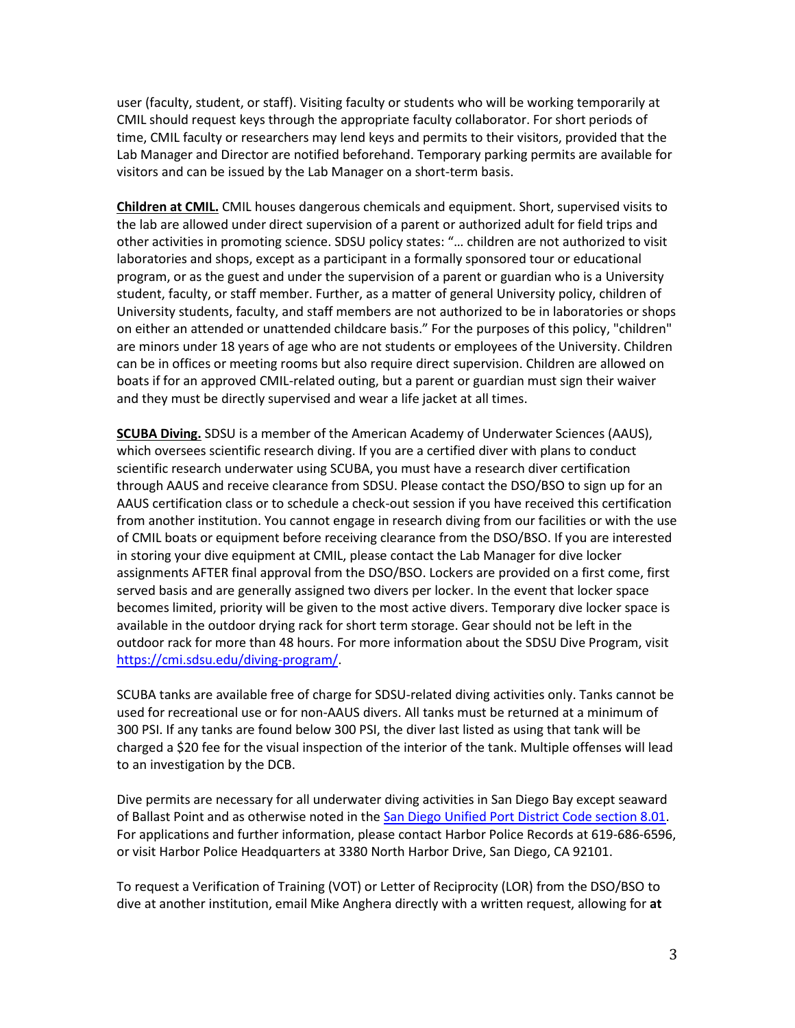user (faculty, student, or staff). Visiting faculty or students who will be working temporarily at CMIL should request keys through the appropriate faculty collaborator. For short periods of time, CMIL faculty or researchers may lend keys and permits to their visitors, provided that the Lab Manager and Director are notified beforehand. Temporary parking permits are available for visitors and can be issued by the Lab Manager on a short-term basis.

**Children at CMIL.** CMIL houses dangerous chemicals and equipment. Short, supervised visits to the lab are allowed under direct supervision of a parent or authorized adult for field trips and other activities in promoting science. SDSU policy states: "… children are not authorized to visit laboratories and shops, except as a participant in a formally sponsored tour or educational program, or as the guest and under the supervision of a parent or guardian who is a University student, faculty, or staff member. Further, as a matter of general University policy, children of University students, faculty, and staff members are not authorized to be in laboratories or shops on either an attended or unattended childcare basis." For the purposes of this policy, "children" are minors under 18 years of age who are not students or employees of the University. Children can be in offices or meeting rooms but also require direct supervision. Children are allowed on boats if for an approved CMIL-related outing, but a parent or guardian must sign their waiver and they must be directly supervised and wear a life jacket at all times.

**SCUBA Diving.** SDSU is a member of the American Academy of Underwater Sciences (AAUS), which oversees scientific research diving. If you are a certified diver with plans to conduct scientific research underwater using SCUBA, you must have a research diver certification through AAUS and receive clearance from SDSU. Please contact the DSO/BSO to sign up for an AAUS certification class or to schedule a check-out session if you have received this certification from another institution. You cannot engage in research diving from our facilities or with the use of CMIL boats or equipment before receiving clearance from the DSO/BSO. If you are interested in storing your dive equipment at CMIL, please contact the Lab Manager for dive locker assignments AFTER final approval from the DSO/BSO. Lockers are provided on a first come, first served basis and are generally assigned two divers per locker. In the event that locker space becomes limited, priority will be given to the most active divers. Temporary dive locker space is available in the outdoor drying rack for short term storage. Gear should not be left in the outdoor rack for more than 48 hours. For more information about the SDSU Dive Program, visit [https://cmi.sdsu.edu/diving-program/.](https://cmi.sdsu.edu/diving-program/)

SCUBA tanks are available free of charge for SDSU-related diving activities only. Tanks cannot be used for recreational use or for non-AAUS divers. All tanks must be returned at a minimum of 300 PSI. If any tanks are found below 300 PSI, the diver last listed as using that tank will be charged a \$20 fee for the visual inspection of the interior of the tank. Multiple offenses will lead to an investigation by the DCB.

Dive permits are necessary for all underwater diving activities in San Diego Bay except seaward of Ballast Point and as otherwise noted in th[e San Diego Unified Port District Code section 8.01.](https://www.portofsandiego.org/harbor-police/get-boating-info/246-section-801-diving-within-san-diego-bay-regulated.html) For applications and further information, please contact Harbor Police Records at 619-686-6596, or visit Harbor Police Headquarters at 3380 North Harbor Drive, San Diego, CA 92101.

To request a Verification of Training (VOT) or Letter of Reciprocity (LOR) from the DSO/BSO to dive at another institution, email Mike Anghera directly with a written request, allowing for **at**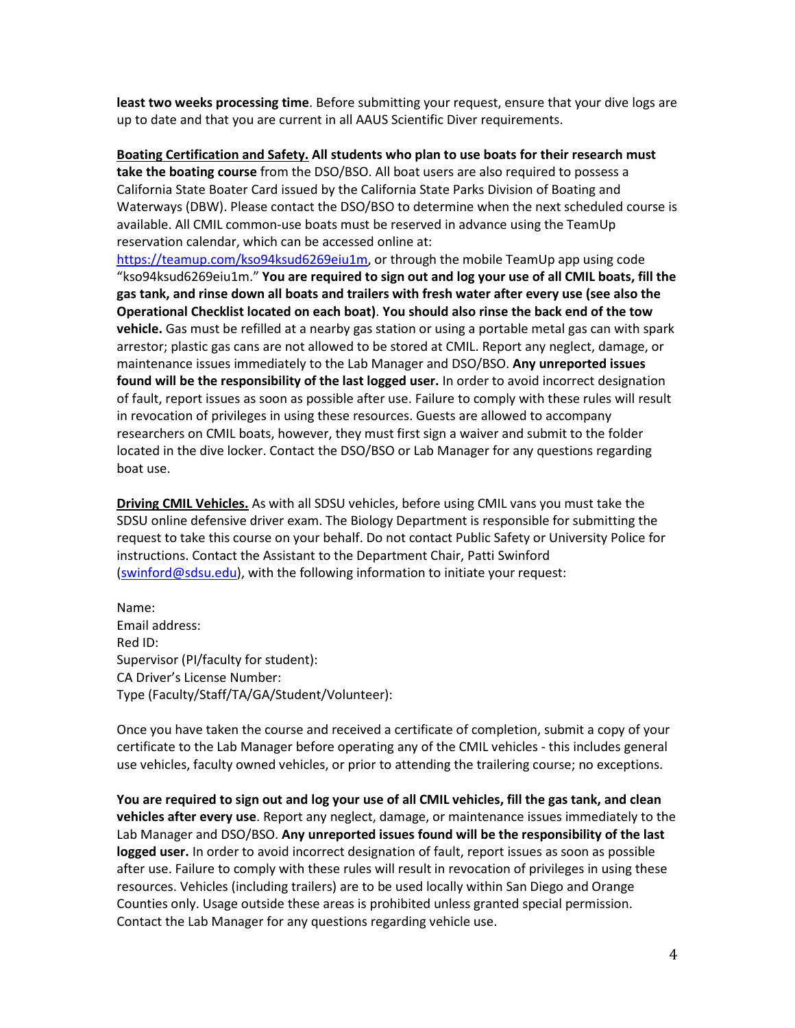**least two weeks processing time**. Before submitting your request, ensure that your dive logs are up to date and that you are current in all AAUS Scientific Diver requirements.

**Boating Certification and Safety. All students who plan to use boats for their research must take the boating course** from the DSO/BSO. All boat users are also required to possess a California State Boater Card issued by the California State Parks Division of Boating and Waterways (DBW). Please contact the DSO/BSO to determine when the next scheduled course is available. All CMIL common-use boats must be reserved in advance using the TeamUp reservation calendar, which can be accessed online at:

[https://teamup.com/kso94ksud6269eiu1m,](https://teamup.com/kso94ksud6269eiu1m) or through the mobile TeamUp app using code "kso94ksud6269eiu1m." **You are required to sign out and log your use of all CMIL boats, fill the gas tank, and rinse down all boats and trailers with fresh water after every use (see also the Operational Checklist located on each boat)**. **You should also rinse the back end of the tow vehicle.** Gas must be refilled at a nearby gas station or using a portable metal gas can with spark arrestor; plastic gas cans are not allowed to be stored at CMIL. Report any neglect, damage, or maintenance issues immediately to the Lab Manager and DSO/BSO. **Any unreported issues found will be the responsibility of the last logged user.** In order to avoid incorrect designation of fault, report issues as soon as possible after use. Failure to comply with these rules will result in revocation of privileges in using these resources. Guests are allowed to accompany researchers on CMIL boats, however, they must first sign a waiver and submit to the folder located in the dive locker. Contact the DSO/BSO or Lab Manager for any questions regarding boat use.

**Driving CMIL Vehicles.** As with all SDSU vehicles, before using CMIL vans you must take the SDSU online defensive driver exam. The Biology Department is responsible for submitting the request to take this course on your behalf. Do not contact Public Safety or University Police for instructions. Contact the Assistant to the Department Chair, Patti Swinford [\(swinford@sdsu.edu\)](mailto:swinford@sdsu.edu), with the following information to initiate your request:

Name: Email address: Red ID: Supervisor (PI/faculty for student): CA Driver's License Number: Type (Faculty/Staff/TA/GA/Student/Volunteer):

Once you have taken the course and received a certificate of completion, submit a copy of your certificate to the Lab Manager before operating any of the CMIL vehicles - this includes general use vehicles, faculty owned vehicles, or prior to attending the trailering course; no exceptions.

**You are required to sign out and log your use of all CMIL vehicles, fill the gas tank, and clean vehicles after every use**. Report any neglect, damage, or maintenance issues immediately to the Lab Manager and DSO/BSO. **Any unreported issues found will be the responsibility of the last logged user.** In order to avoid incorrect designation of fault, report issues as soon as possible after use. Failure to comply with these rules will result in revocation of privileges in using these resources. Vehicles (including trailers) are to be used locally within San Diego and Orange Counties only. Usage outside these areas is prohibited unless granted special permission. Contact the Lab Manager for any questions regarding vehicle use.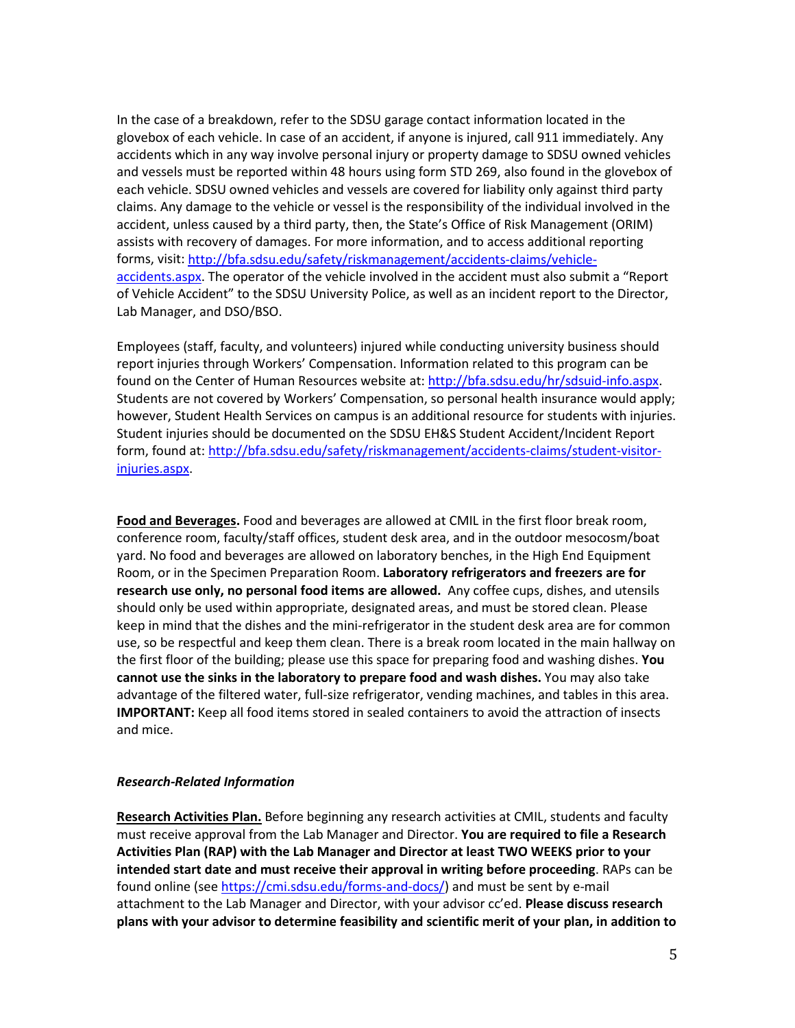In the case of a breakdown, refer to the SDSU garage contact information located in the glovebox of each vehicle. In case of an accident, if anyone is injured, call 911 immediately. Any accidents which in any way involve personal injury or property damage to SDSU owned vehicles and vessels must be reported within 48 hours using form STD 269, also found in the glovebox of each vehicle. SDSU owned vehicles and vessels are covered for liability only against third party claims. Any damage to the vehicle or vessel is the responsibility of the individual involved in the accident, unless caused by a third party, then, the State's Office of Risk Management (ORIM) assists with recovery of damages. For more information, and to access additional reporting forms, visit[: http://bfa.sdsu.edu/safety/riskmanagement/accidents-claims/vehicle](http://bfa.sdsu.edu/safety/riskmanagement/accidents-claims/vehicle-accidents.aspx)[accidents.aspx.](http://bfa.sdsu.edu/safety/riskmanagement/accidents-claims/vehicle-accidents.aspx) The operator of the vehicle involved in the accident must also submit a "Report of Vehicle Accident" to the SDSU University Police, as well as an incident report to the Director, Lab Manager, and DSO/BSO.

Employees (staff, faculty, and volunteers) injured while conducting university business should report injuries through Workers' Compensation. Information related to this program can be found on the Center of Human Resources website at[: http://bfa.sdsu.edu/hr/sdsuid-info.aspx.](http://bfa.sdsu.edu/hr/sdsuid-info.aspx) Students are not covered by Workers' Compensation, so personal health insurance would apply; however, Student Health Services on campus is an additional resource for students with injuries. Student injuries should be documented on the SDSU EH&S Student Accident/Incident Report form, found at: [http://bfa.sdsu.edu/safety/riskmanagement/accidents-claims/student-visitor](http://bfa.sdsu.edu/safety/riskmanagement/accidents-claims/student-visitor-injuries.aspx)[injuries.aspx.](http://bfa.sdsu.edu/safety/riskmanagement/accidents-claims/student-visitor-injuries.aspx)

**Food and Beverages.** Food and beverages are allowed at CMIL in the first floor break room, conference room, faculty/staff offices, student desk area, and in the outdoor mesocosm/boat yard. No food and beverages are allowed on laboratory benches, in the High End Equipment Room, or in the Specimen Preparation Room. **Laboratory refrigerators and freezers are for research use only, no personal food items are allowed.** Any coffee cups, dishes, and utensils should only be used within appropriate, designated areas, and must be stored clean. Please keep in mind that the dishes and the mini-refrigerator in the student desk area are for common use, so be respectful and keep them clean. There is a break room located in the main hallway on the first floor of the building; please use this space for preparing food and washing dishes. **You cannot use the sinks in the laboratory to prepare food and wash dishes.** You may also take advantage of the filtered water, full-size refrigerator, vending machines, and tables in this area. **IMPORTANT:** Keep all food items stored in sealed containers to avoid the attraction of insects and mice.

#### *Research-Related Information*

**Research Activities Plan.** Before beginning any research activities at CMIL, students and faculty must receive approval from the Lab Manager and Director. **You are required to file a Research Activities Plan (RAP) with the Lab Manager and Director at least TWO WEEKS prior to your intended start date and must receive their approval in writing before proceeding**. RAPs can be found online (se[e https://cmi.sdsu.edu/forms-and-docs/\)](https://cmi.sdsu.edu/forms-and-docs/) and must be sent by e-mail attachment to the Lab Manager and Director, with your advisor cc'ed. **Please discuss research plans with your advisor to determine feasibility and scientific merit of your plan, in addition to**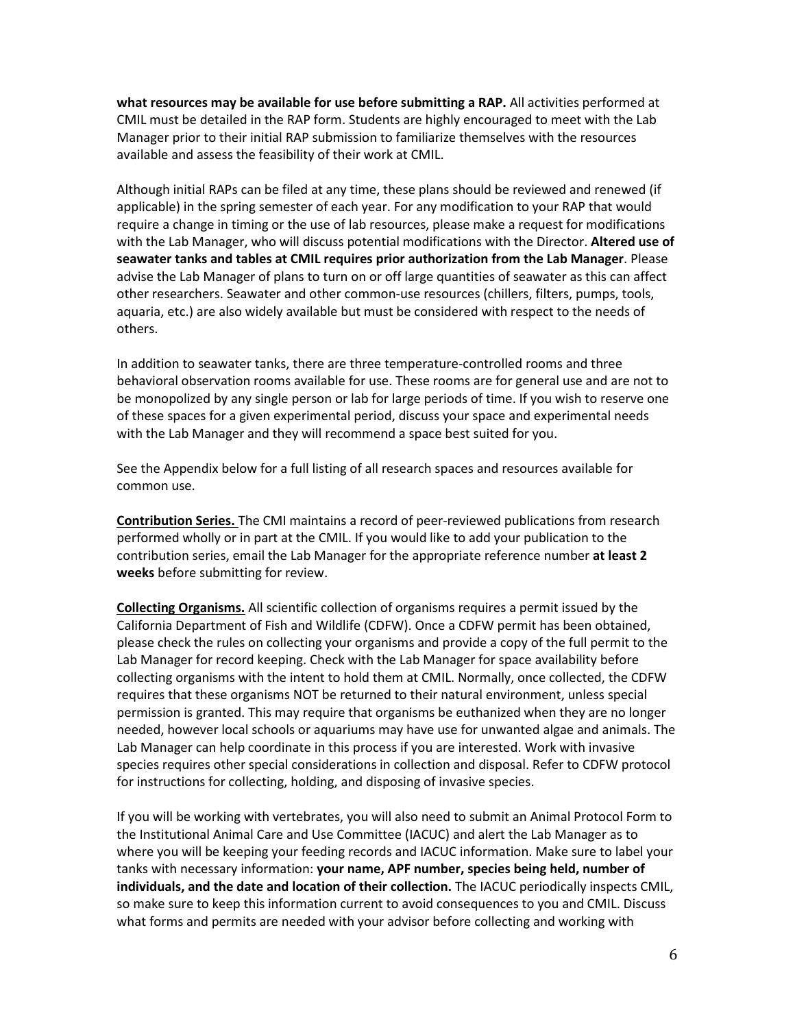**what resources may be available for use before submitting a RAP.** All activities performed at CMIL must be detailed in the RAP form. Students are highly encouraged to meet with the Lab Manager prior to their initial RAP submission to familiarize themselves with the resources available and assess the feasibility of their work at CMIL.

Although initial RAPs can be filed at any time, these plans should be reviewed and renewed (if applicable) in the spring semester of each year. For any modification to your RAP that would require a change in timing or the use of lab resources, please make a request for modifications with the Lab Manager, who will discuss potential modifications with the Director. **Altered use of seawater tanks and tables at CMIL requires prior authorization from the Lab Manager**. Please advise the Lab Manager of plans to turn on or off large quantities of seawater as this can affect other researchers. Seawater and other common-use resources (chillers, filters, pumps, tools, aquaria, etc.) are also widely available but must be considered with respect to the needs of others.

In addition to seawater tanks, there are three temperature-controlled rooms and three behavioral observation rooms available for use. These rooms are for general use and are not to be monopolized by any single person or lab for large periods of time. If you wish to reserve one of these spaces for a given experimental period, discuss your space and experimental needs with the Lab Manager and they will recommend a space best suited for you.

See the Appendix below for a full listing of all research spaces and resources available for common use.

**Contribution Series.** The CMI maintains a record of peer-reviewed publications from research performed wholly or in part at the CMIL. If you would like to add your publication to the contribution series, email the Lab Manager for the appropriate reference number **at least 2 weeks** before submitting for review.

**Collecting Organisms.** All scientific collection of organisms requires a permit issued by the California Department of Fish and Wildlife (CDFW). Once a CDFW permit has been obtained, please check the rules on collecting your organisms and provide a copy of the full permit to the Lab Manager for record keeping. Check with the Lab Manager for space availability before collecting organisms with the intent to hold them at CMIL. Normally, once collected, the CDFW requires that these organisms NOT be returned to their natural environment, unless special permission is granted. This may require that organisms be euthanized when they are no longer needed, however local schools or aquariums may have use for unwanted algae and animals. The Lab Manager can help coordinate in this process if you are interested. Work with invasive species requires other special considerations in collection and disposal. Refer to CDFW protocol for instructions for collecting, holding, and disposing of invasive species.

If you will be working with vertebrates, you will also need to submit an Animal Protocol Form to the Institutional Animal Care and Use Committee (IACUC) and alert the Lab Manager as to where you will be keeping your feeding records and IACUC information. Make sure to label your tanks with necessary information: **your name, APF number, species being held, number of individuals, and the date and location of their collection.** The IACUC periodically inspects CMIL, so make sure to keep this information current to avoid consequences to you and CMIL. Discuss what forms and permits are needed with your advisor before collecting and working with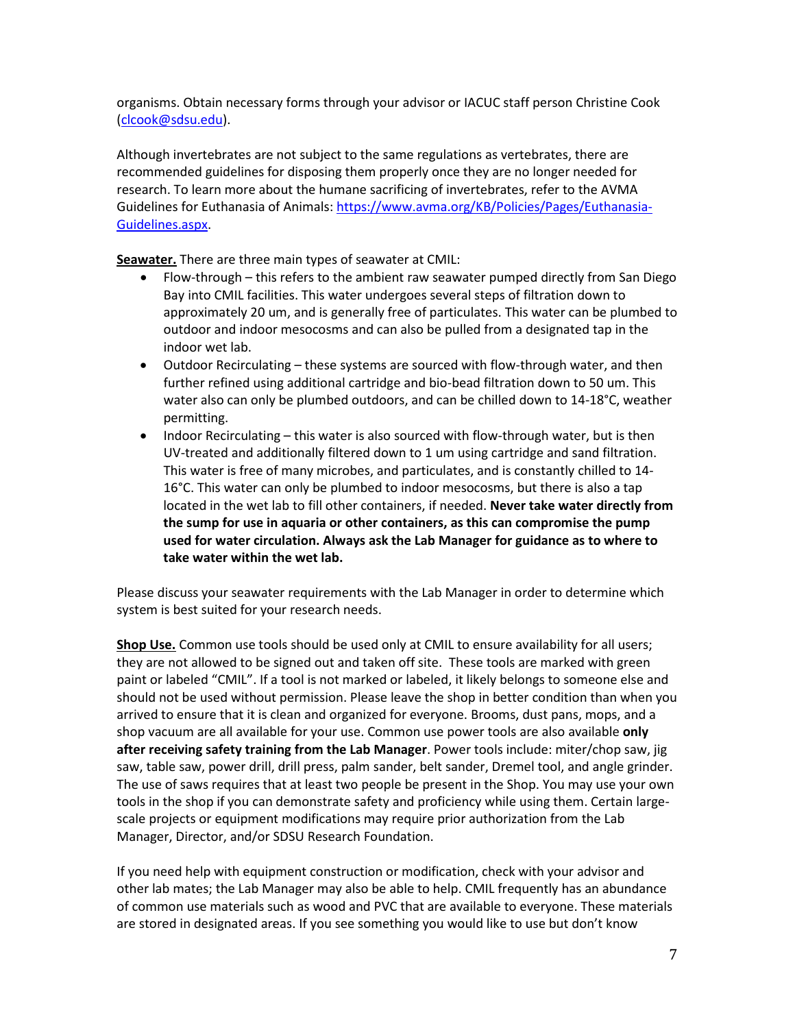organisms. Obtain necessary forms through your advisor or IACUC staff person Christine Cook [\(clcook@sdsu.edu\)](mailto:clcook@mail.sdsu.edu).

Although invertebrates are not subject to the same regulations as vertebrates, there are recommended guidelines for disposing them properly once they are no longer needed for research. To learn more about the humane sacrificing of invertebrates, refer to the AVMA Guidelines for Euthanasia of Animals: [https://www.avma.org/KB/Policies/Pages/Euthanasia-](https://www.avma.org/KB/Policies/Pages/Euthanasia-Guidelines.aspx)[Guidelines.aspx.](https://www.avma.org/KB/Policies/Pages/Euthanasia-Guidelines.aspx)

**Seawater.** There are three main types of seawater at CMIL:

- Flow-through this refers to the ambient raw seawater pumped directly from San Diego Bay into CMIL facilities. This water undergoes several steps of filtration down to approximately 20 um, and is generally free of particulates. This water can be plumbed to outdoor and indoor mesocosms and can also be pulled from a designated tap in the indoor wet lab.
- Outdoor Recirculating these systems are sourced with flow-through water, and then further refined using additional cartridge and bio-bead filtration down to 50 um. This water also can only be plumbed outdoors, and can be chilled down to 14-18°C, weather permitting.
- Indoor Recirculating this water is also sourced with flow-through water, but is then UV-treated and additionally filtered down to 1 um using cartridge and sand filtration. This water is free of many microbes, and particulates, and is constantly chilled to 14- 16°C. This water can only be plumbed to indoor mesocosms, but there is also a tap located in the wet lab to fill other containers, if needed. **Never take water directly from the sump for use in aquaria or other containers, as this can compromise the pump used for water circulation. Always ask the Lab Manager for guidance as to where to take water within the wet lab.**

Please discuss your seawater requirements with the Lab Manager in order to determine which system is best suited for your research needs.

**Shop Use.** Common use tools should be used only at CMIL to ensure availability for all users; they are not allowed to be signed out and taken off site. These tools are marked with green paint or labeled "CMIL". If a tool is not marked or labeled, it likely belongs to someone else and should not be used without permission. Please leave the shop in better condition than when you arrived to ensure that it is clean and organized for everyone. Brooms, dust pans, mops, and a shop vacuum are all available for your use. Common use power tools are also available **only after receiving safety training from the Lab Manager**. Power tools include: miter/chop saw, jig saw, table saw, power drill, drill press, palm sander, belt sander, Dremel tool, and angle grinder. The use of saws requires that at least two people be present in the Shop. You may use your own tools in the shop if you can demonstrate safety and proficiency while using them. Certain largescale projects or equipment modifications may require prior authorization from the Lab Manager, Director, and/or SDSU Research Foundation.

If you need help with equipment construction or modification, check with your advisor and other lab mates; the Lab Manager may also be able to help. CMIL frequently has an abundance of common use materials such as wood and PVC that are available to everyone. These materials are stored in designated areas. If you see something you would like to use but don't know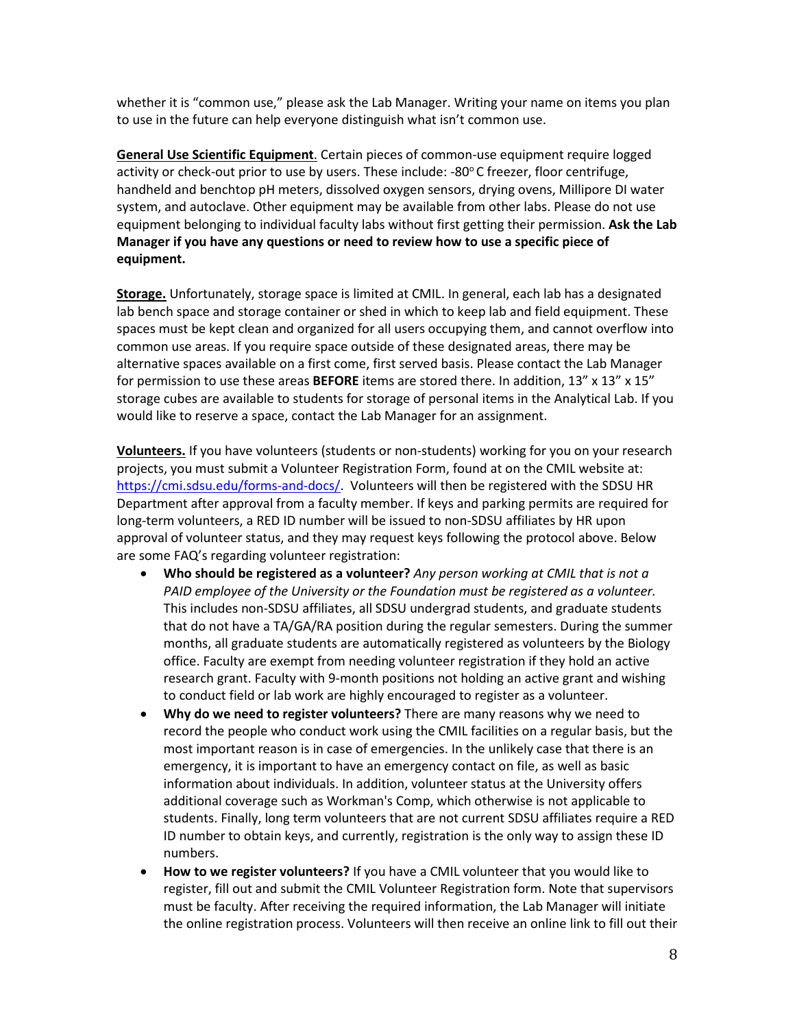whether it is "common use," please ask the Lab Manager. Writing your name on items you plan to use in the future can help everyone distinguish what isn't common use.

**General Use Scientific Equipment**. Certain pieces of common-use equipment require logged activity or check-out prior to use by users. These include:  $-80^{\circ}$ C freezer, floor centrifuge, handheld and benchtop pH meters, dissolved oxygen sensors, drying ovens, Millipore DI water system, and autoclave. Other equipment may be available from other labs. Please do not use equipment belonging to individual faculty labs without first getting their permission. **Ask the Lab Manager if you have any questions or need to review how to use a specific piece of equipment.** 

**Storage.** Unfortunately, storage space is limited at CMIL. In general, each lab has a designated lab bench space and storage container or shed in which to keep lab and field equipment. These spaces must be kept clean and organized for all users occupying them, and cannot overflow into common use areas. If you require space outside of these designated areas, there may be alternative spaces available on a first come, first served basis. Please contact the Lab Manager for permission to use these areas **BEFORE** items are stored there. In addition, 13" x 13" x 15" storage cubes are available to students for storage of personal items in the Analytical Lab. If you would like to reserve a space, contact the Lab Manager for an assignment.

**Volunteers.** If you have volunteers (students or non-students) working for you on your research projects, you must submit a Volunteer Registration Form, found at on the CMIL website at: [https://cmi.sdsu.edu/forms-and-docs/.](https://cmi.sdsu.edu/forms-and-docs/) Volunteers will then be registered with the SDSU HR Department after approval from a faculty member. If keys and parking permits are required for long-term volunteers, a RED ID number will be issued to non-SDSU affiliates by HR upon approval of volunteer status, and they may request keys following the protocol above. Below are some FAQ's regarding volunteer registration:

- **Who should be registered as a volunteer?** *Any person working at CMIL that is not a PAID employee of the University or the Foundation must be registered as a volunteer.* This includes non-SDSU affiliates, all SDSU undergrad students, and graduate students that do not have a TA/GA/RA position during the regular semesters. During the summer months, all graduate students are automatically registered as volunteers by the Biology office. Faculty are exempt from needing volunteer registration if they hold an active research grant. Faculty with 9-month positions not holding an active grant and wishing to conduct field or lab work are highly encouraged to register as a volunteer.
- **Why do we need to register volunteers?** There are many reasons why we need to record the people who conduct work using the CMIL facilities on a regular basis, but the most important reason is in case of emergencies. In the unlikely case that there is an emergency, it is important to have an emergency contact on file, as well as basic information about individuals. In addition, volunteer status at the University offers additional coverage such as Workman's Comp, which otherwise is not applicable to students. Finally, long term volunteers that are not current SDSU affiliates require a RED ID number to obtain keys, and currently, registration is the only way to assign these ID numbers.
- **How to we register volunteers?** If you have a CMIL volunteer that you would like to register, fill out and submit the CMIL Volunteer Registration form. Note that supervisors must be faculty. After receiving the required information, the Lab Manager will initiate the online registration process. Volunteers will then receive an online link to fill out their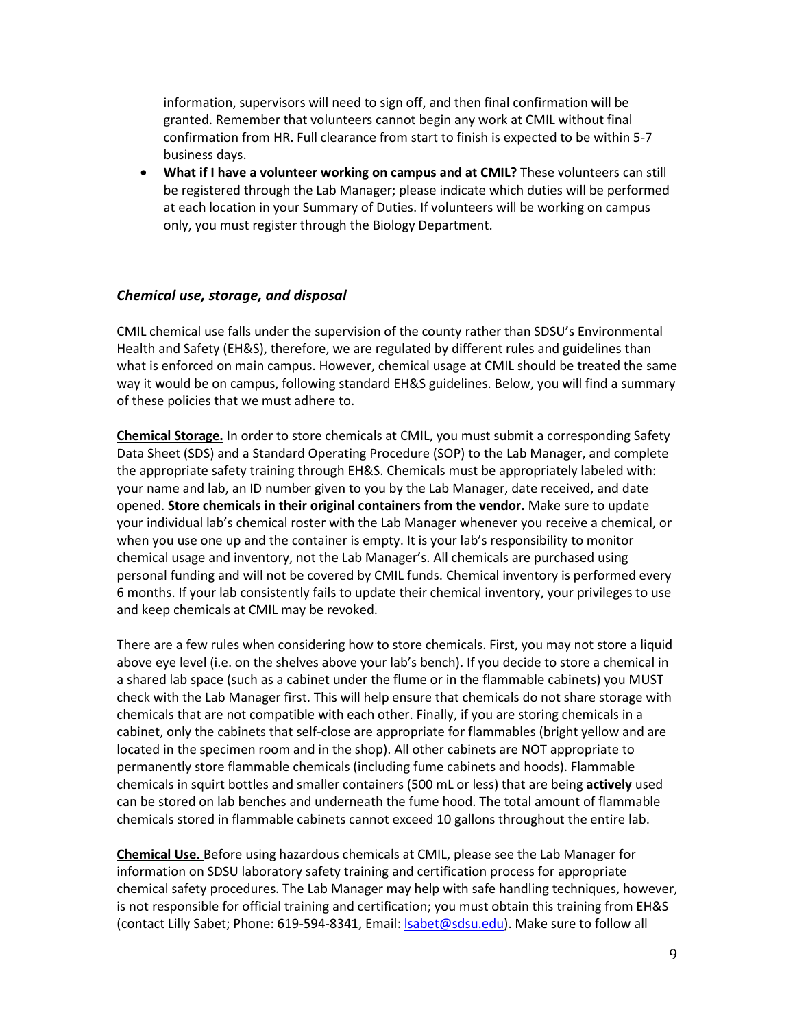information, supervisors will need to sign off, and then final confirmation will be granted. Remember that volunteers cannot begin any work at CMIL without final confirmation from HR. Full clearance from start to finish is expected to be within 5-7 business days.

• **What if I have a volunteer working on campus and at CMIL?** These volunteers can still be registered through the Lab Manager; please indicate which duties will be performed at each location in your Summary of Duties. If volunteers will be working on campus only, you must register through the Biology Department.

### *Chemical use, storage, and disposal*

CMIL chemical use falls under the supervision of the county rather than SDSU's Environmental Health and Safety (EH&S), therefore, we are regulated by different rules and guidelines than what is enforced on main campus. However, chemical usage at CMIL should be treated the same way it would be on campus, following standard EH&S guidelines. Below, you will find a summary of these policies that we must adhere to.

**Chemical Storage.** In order to store chemicals at CMIL, you must submit a corresponding Safety Data Sheet (SDS) and a Standard Operating Procedure (SOP) to the Lab Manager, and complete the appropriate safety training through EH&S. Chemicals must be appropriately labeled with: your name and lab, an ID number given to you by the Lab Manager, date received, and date opened. **Store chemicals in their original containers from the vendor.** Make sure to update your individual lab's chemical roster with the Lab Manager whenever you receive a chemical, or when you use one up and the container is empty. It is your lab's responsibility to monitor chemical usage and inventory, not the Lab Manager's. All chemicals are purchased using personal funding and will not be covered by CMIL funds. Chemical inventory is performed every 6 months. If your lab consistently fails to update their chemical inventory, your privileges to use and keep chemicals at CMIL may be revoked.

There are a few rules when considering how to store chemicals. First, you may not store a liquid above eye level (i.e. on the shelves above your lab's bench). If you decide to store a chemical in a shared lab space (such as a cabinet under the flume or in the flammable cabinets) you MUST check with the Lab Manager first. This will help ensure that chemicals do not share storage with chemicals that are not compatible with each other. Finally, if you are storing chemicals in a cabinet, only the cabinets that self-close are appropriate for flammables (bright yellow and are located in the specimen room and in the shop). All other cabinets are NOT appropriate to permanently store flammable chemicals (including fume cabinets and hoods). Flammable chemicals in squirt bottles and smaller containers (500 mL or less) that are being **actively** used can be stored on lab benches and underneath the fume hood. The total amount of flammable chemicals stored in flammable cabinets cannot exceed 10 gallons throughout the entire lab.

**Chemical Use.** Before using hazardous chemicals at CMIL, please see the Lab Manager for information on SDSU laboratory safety training and certification process for appropriate chemical safety procedures. The Lab Manager may help with safe handling techniques, however, is not responsible for official training and certification; you must obtain this training from EH&S (contact Lilly Sabet; Phone: 619-594-8341, Email: [lsabet@sdsu.edu\)](mailto:lsabet@mail.sdsu.edu). Make sure to follow all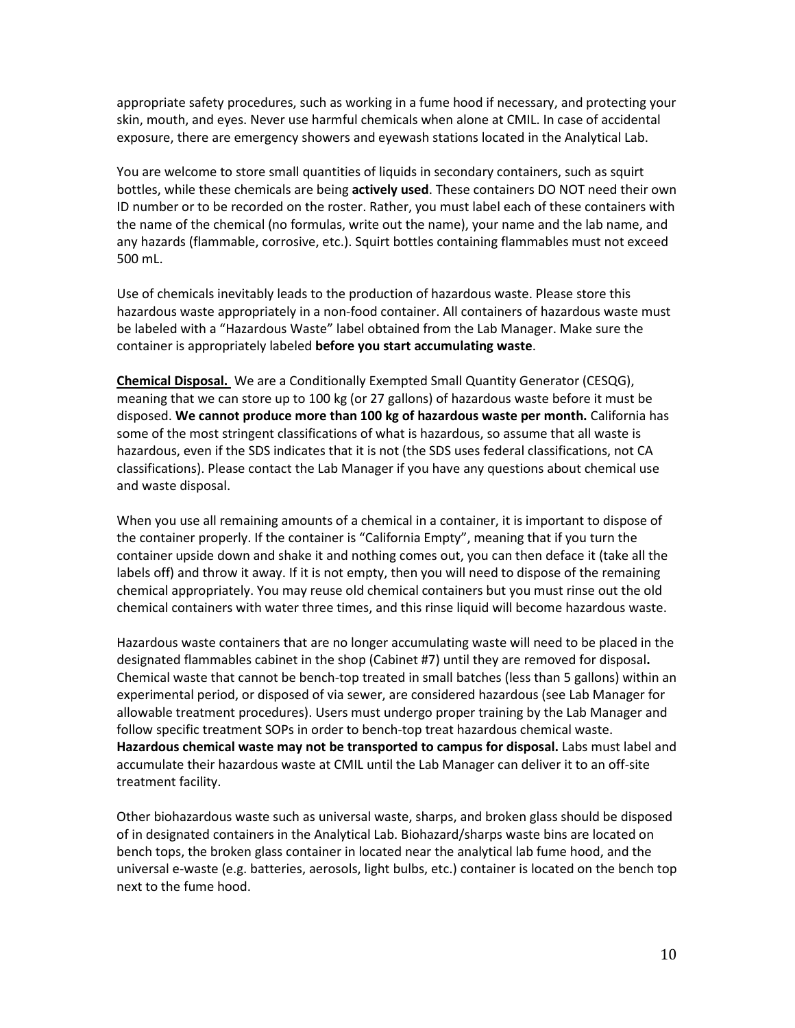appropriate safety procedures, such as working in a fume hood if necessary, and protecting your skin, mouth, and eyes. Never use harmful chemicals when alone at CMIL. In case of accidental exposure, there are emergency showers and eyewash stations located in the Analytical Lab.

You are welcome to store small quantities of liquids in secondary containers, such as squirt bottles, while these chemicals are being **actively used**. These containers DO NOT need their own ID number or to be recorded on the roster. Rather, you must label each of these containers with the name of the chemical (no formulas, write out the name), your name and the lab name, and any hazards (flammable, corrosive, etc.). Squirt bottles containing flammables must not exceed 500 mL.

Use of chemicals inevitably leads to the production of hazardous waste. Please store this hazardous waste appropriately in a non-food container. All containers of hazardous waste must be labeled with a "Hazardous Waste" label obtained from the Lab Manager. Make sure the container is appropriately labeled **before you start accumulating waste**.

**Chemical Disposal.** We are a Conditionally Exempted Small Quantity Generator (CESQG), meaning that we can store up to 100 kg (or 27 gallons) of hazardous waste before it must be disposed. **We cannot produce more than 100 kg of hazardous waste per month.** California has some of the most stringent classifications of what is hazardous, so assume that all waste is hazardous, even if the SDS indicates that it is not (the SDS uses federal classifications, not CA classifications). Please contact the Lab Manager if you have any questions about chemical use and waste disposal.

When you use all remaining amounts of a chemical in a container, it is important to dispose of the container properly. If the container is "California Empty", meaning that if you turn the container upside down and shake it and nothing comes out, you can then deface it (take all the labels off) and throw it away. If it is not empty, then you will need to dispose of the remaining chemical appropriately. You may reuse old chemical containers but you must rinse out the old chemical containers with water three times, and this rinse liquid will become hazardous waste.

Hazardous waste containers that are no longer accumulating waste will need to be placed in the designated flammables cabinet in the shop (Cabinet #7) until they are removed for disposal**.** Chemical waste that cannot be bench-top treated in small batches (less than 5 gallons) within an experimental period, or disposed of via sewer, are considered hazardous (see Lab Manager for allowable treatment procedures). Users must undergo proper training by the Lab Manager and follow specific treatment SOPs in order to bench-top treat hazardous chemical waste. **Hazardous chemical waste may not be transported to campus for disposal.** Labs must label and accumulate their hazardous waste at CMIL until the Lab Manager can deliver it to an off-site treatment facility.

Other biohazardous waste such as universal waste, sharps, and broken glass should be disposed of in designated containers in the Analytical Lab. Biohazard/sharps waste bins are located on bench tops, the broken glass container in located near the analytical lab fume hood, and the universal e-waste (e.g. batteries, aerosols, light bulbs, etc.) container is located on the bench top next to the fume hood.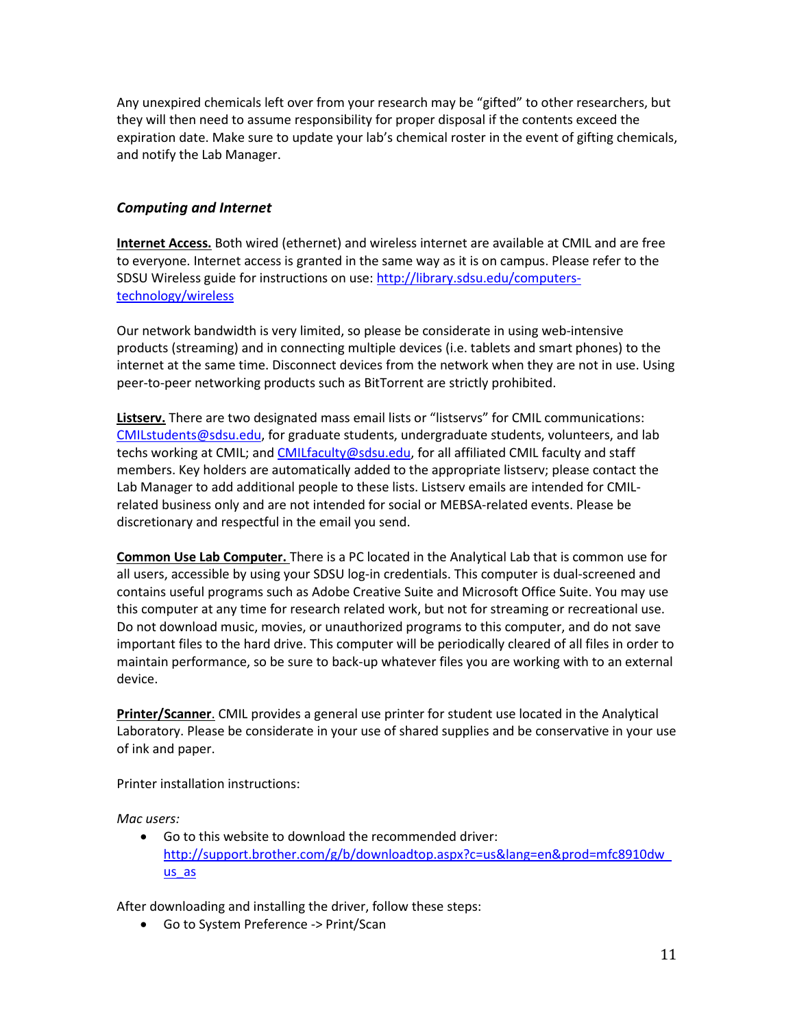Any unexpired chemicals left over from your research may be "gifted" to other researchers, but they will then need to assume responsibility for proper disposal if the contents exceed the expiration date. Make sure to update your lab's chemical roster in the event of gifting chemicals, and notify the Lab Manager.

# *Computing and Internet*

**Internet Access.** Both wired (ethernet) and wireless internet are available at CMIL and are free to everyone. Internet access is granted in the same way as it is on campus. Please refer to the SDSU Wireless guide for instructions on use: [http://library.sdsu.edu/computers](http://library.sdsu.edu/computers-technology/wireless)[technology/wireless](http://library.sdsu.edu/computers-technology/wireless)

Our network bandwidth is very limited, so please be considerate in using web-intensive products (streaming) and in connecting multiple devices (i.e. tablets and smart phones) to the internet at the same time. Disconnect devices from the network when they are not in use. Using peer-to-peer networking products such as BitTorrent are strictly prohibited.

**Listserv.** There are two designated mass email lists or "listservs" for CMIL communications: [CMILstudents@sdsu.edu,](mailto:CMILstudents@mail.sdsu.edu) for graduate students, undergraduate students, volunteers, and lab techs working at CMIL; an[d CMILfaculty@sdsu.edu,](mailto:CMILfaculty@mail.sdsu.edu) for all affiliated CMIL faculty and staff members. Key holders are automatically added to the appropriate listserv; please contact the Lab Manager to add additional people to these lists. Listserv emails are intended for CMILrelated business only and are not intended for social or MEBSA-related events. Please be discretionary and respectful in the email you send.

**Common Use Lab Computer.** There is a PC located in the Analytical Lab that is common use for all users, accessible by using your SDSU log-in credentials. This computer is dual-screened and contains useful programs such as Adobe Creative Suite and Microsoft Office Suite. You may use this computer at any time for research related work, but not for streaming or recreational use. Do not download music, movies, or unauthorized programs to this computer, and do not save important files to the hard drive. This computer will be periodically cleared of all files in order to maintain performance, so be sure to back-up whatever files you are working with to an external device.

**Printer/Scanner**. CMIL provides a general use printer for student use located in the Analytical Laboratory. Please be considerate in your use of shared supplies and be conservative in your use of ink and paper.

Printer installation instructions:

*Mac users:*

• Go to this website to download the recommended driver: [http://support.brother.com/g/b/downloadtop.aspx?c=us&lang=en&prod=mfc8910dw\\_](http://support.brother.com/g/b/downloadtop.aspx?c=us&lang=en&prod=mfc8910dw_us_as) [us\\_as](http://support.brother.com/g/b/downloadtop.aspx?c=us&lang=en&prod=mfc8910dw_us_as)

After downloading and installing the driver, follow these steps:

• Go to System Preference -> Print/Scan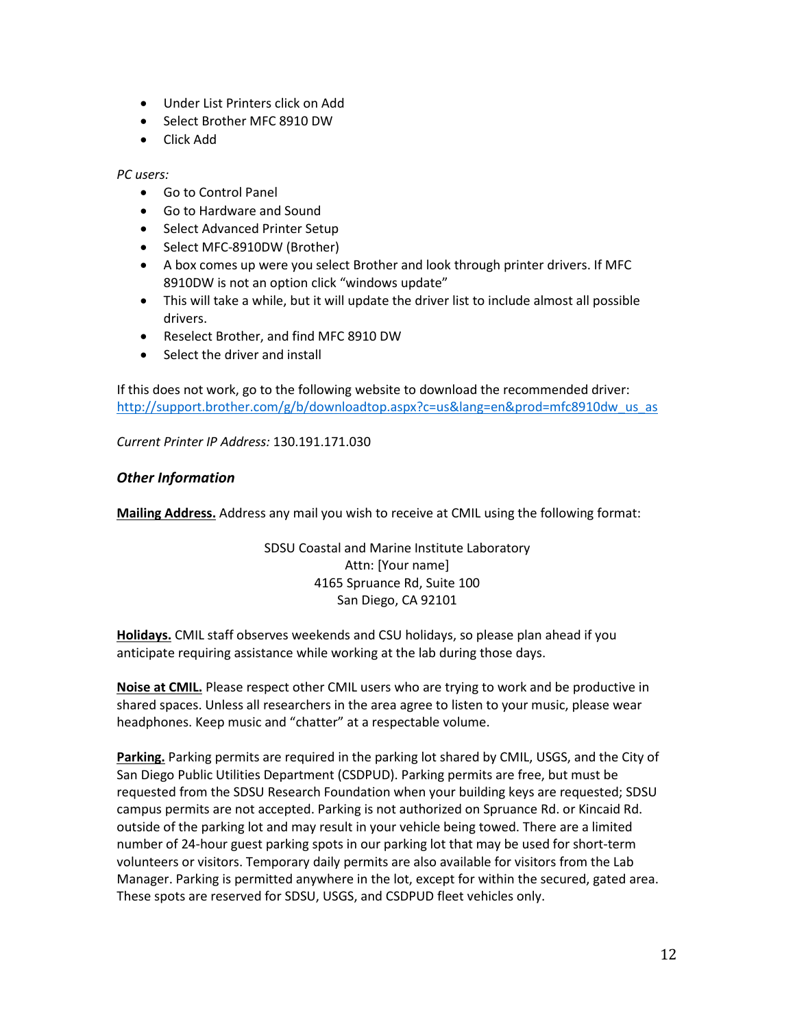- Under List Printers click on Add
- Select Brother MFC 8910 DW
- Click Add

*PC users:*

- Go to Control Panel
- Go to Hardware and Sound
- Select Advanced Printer Setup
- Select MFC-8910DW (Brother)
- A box comes up were you select Brother and look through printer drivers. If MFC 8910DW is not an option click "windows update"
- This will take a while, but it will update the driver list to include almost all possible drivers.
- Reselect Brother, and find MFC 8910 DW
- Select the driver and install

If this does not work, go to the following website to download the recommended driver: [http://support.brother.com/g/b/downloadtop.aspx?c=us&lang=en&prod=mfc8910dw\\_us\\_as](http://support.brother.com/g/b/downloadtop.aspx?c=us&lang=en&prod=mfc8910dw_us_as)

*Current Printer IP Address:* 130.191.171.030

### *Other Information*

**Mailing Address.** Address any mail you wish to receive at CMIL using the following format:

SDSU Coastal and Marine Institute Laboratory Attn: [Your name] 4165 Spruance Rd, Suite 100 San Diego, CA 92101

**Holidays.** CMIL staff observes weekends and CSU holidays, so please plan ahead if you anticipate requiring assistance while working at the lab during those days.

**Noise at CMIL.** Please respect other CMIL users who are trying to work and be productive in shared spaces. Unless all researchers in the area agree to listen to your music, please wear headphones. Keep music and "chatter" at a respectable volume.

**Parking.** Parking permits are required in the parking lot shared by CMIL, USGS, and the City of San Diego Public Utilities Department (CSDPUD). Parking permits are free, but must be requested from the SDSU Research Foundation when your building keys are requested; SDSU campus permits are not accepted. Parking is not authorized on Spruance Rd. or Kincaid Rd. outside of the parking lot and may result in your vehicle being towed. There are a limited number of 24-hour guest parking spots in our parking lot that may be used for short-term volunteers or visitors. Temporary daily permits are also available for visitors from the Lab Manager. Parking is permitted anywhere in the lot, except for within the secured, gated area. These spots are reserved for SDSU, USGS, and CSDPUD fleet vehicles only.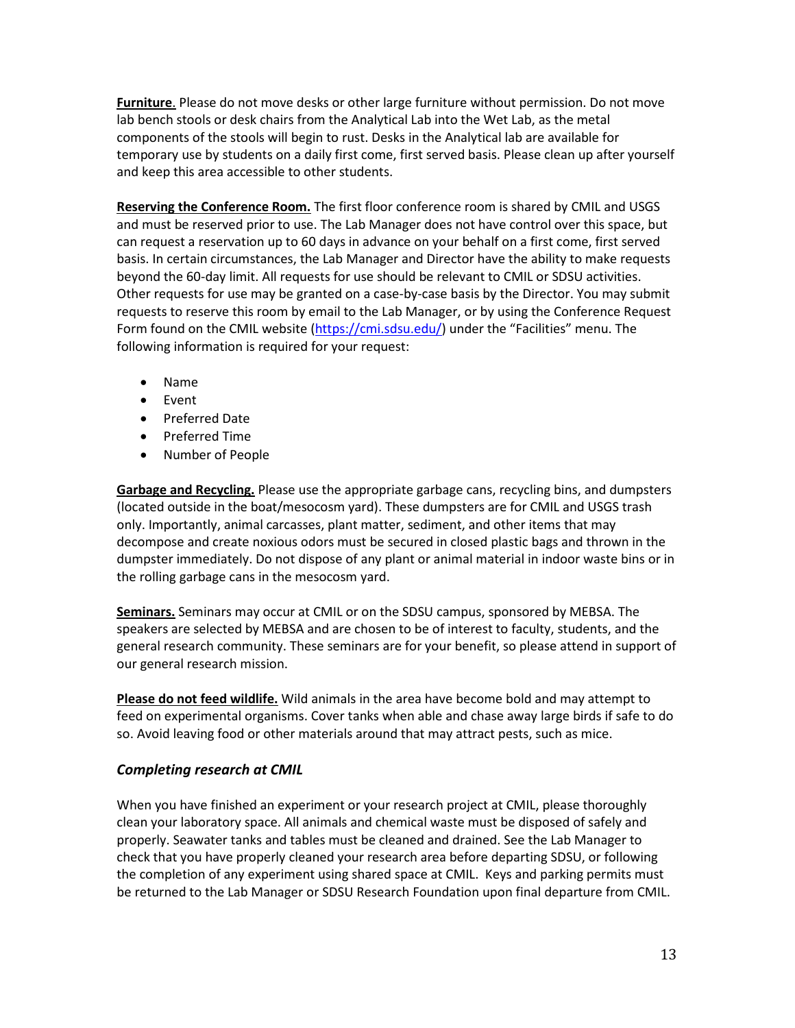**Furniture**. Please do not move desks or other large furniture without permission. Do not move lab bench stools or desk chairs from the Analytical Lab into the Wet Lab, as the metal components of the stools will begin to rust. Desks in the Analytical lab are available for temporary use by students on a daily first come, first served basis. Please clean up after yourself and keep this area accessible to other students.

**Reserving the Conference Room.** The first floor conference room is shared by CMIL and USGS and must be reserved prior to use. The Lab Manager does not have control over this space, but can request a reservation up to 60 days in advance on your behalf on a first come, first served basis. In certain circumstances, the Lab Manager and Director have the ability to make requests beyond the 60-day limit. All requests for use should be relevant to CMIL or SDSU activities. Other requests for use may be granted on a case-by-case basis by the Director. You may submit requests to reserve this room by email to the Lab Manager, or by using the Conference Request Form found on the CMIL website [\(https://cmi.sdsu.edu/\)](https://cmi.sdsu.edu/) under the "Facilities" menu. The following information is required for your request:

- Name
- Event
- Preferred Date
- Preferred Time
- Number of People

**Garbage and Recycling.** Please use the appropriate garbage cans, recycling bins, and dumpsters (located outside in the boat/mesocosm yard). These dumpsters are for CMIL and USGS trash only. Importantly, animal carcasses, plant matter, sediment, and other items that may decompose and create noxious odors must be secured in closed plastic bags and thrown in the dumpster immediately. Do not dispose of any plant or animal material in indoor waste bins or in the rolling garbage cans in the mesocosm yard.

**Seminars.** Seminars may occur at CMIL or on the SDSU campus, sponsored by MEBSA. The speakers are selected by MEBSA and are chosen to be of interest to faculty, students, and the general research community. These seminars are for your benefit, so please attend in support of our general research mission.

**Please do not feed wildlife.** Wild animals in the area have become bold and may attempt to feed on experimental organisms. Cover tanks when able and chase away large birds if safe to do so. Avoid leaving food or other materials around that may attract pests, such as mice.

# *Completing research at CMIL*

When you have finished an experiment or your research project at CMIL, please thoroughly clean your laboratory space. All animals and chemical waste must be disposed of safely and properly. Seawater tanks and tables must be cleaned and drained. See the Lab Manager to check that you have properly cleaned your research area before departing SDSU, or following the completion of any experiment using shared space at CMIL. Keys and parking permits must be returned to the Lab Manager or SDSU Research Foundation upon final departure from CMIL.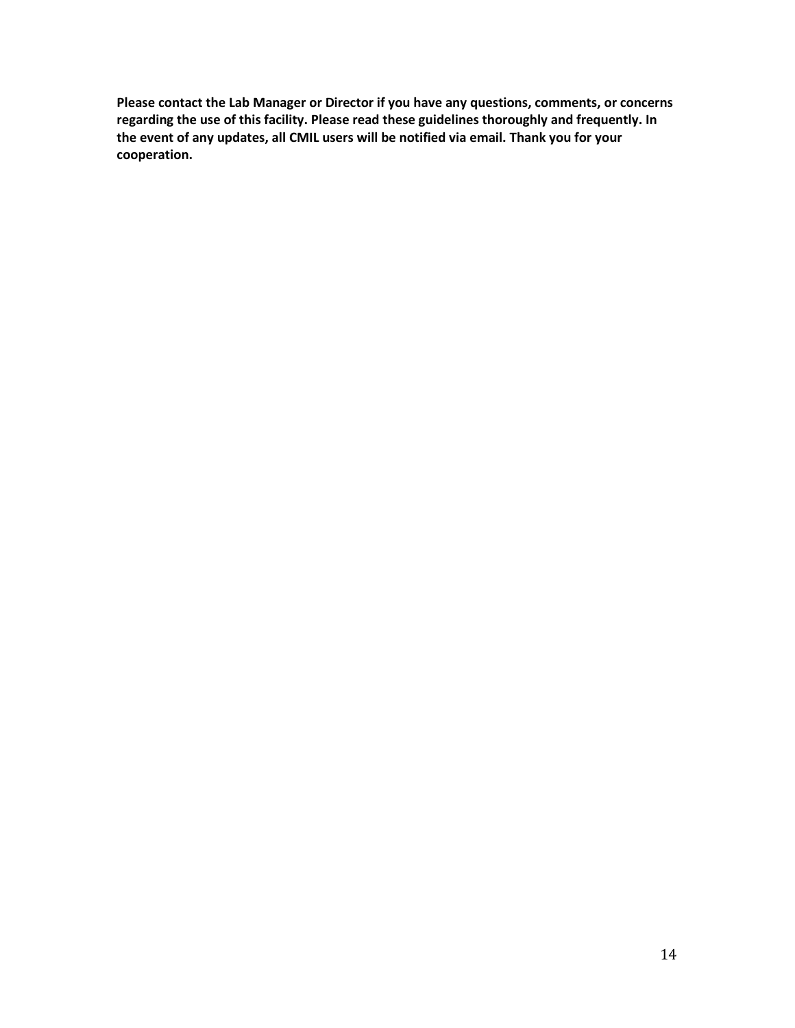**Please contact the Lab Manager or Director if you have any questions, comments, or concerns regarding the use of this facility. Please read these guidelines thoroughly and frequently. In the event of any updates, all CMIL users will be notified via email. Thank you for your cooperation.**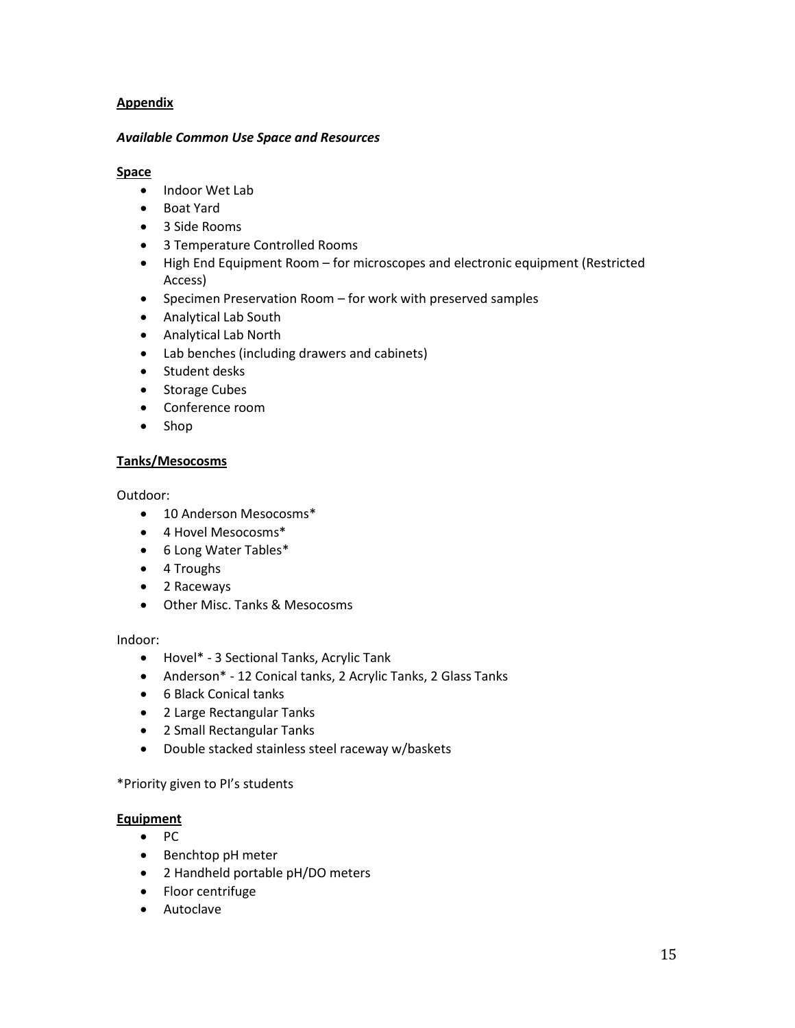# **Appendix**

#### *Available Common Use Space and Resources*

### **Space**

- Indoor Wet Lab
- Boat Yard
- 3 Side Rooms
- 3 Temperature Controlled Rooms
- High End Equipment Room for microscopes and electronic equipment (Restricted Access)
- Specimen Preservation Room for work with preserved samples
- Analytical Lab South
- Analytical Lab North
- Lab benches (including drawers and cabinets)
- Student desks
- Storage Cubes
- Conference room
- Shop

### **Tanks/Mesocosms**

Outdoor:

- 10 Anderson Mesocosms\*
- 4 Hovel Mesocosms\*
- 6 Long Water Tables\*
- 4 Troughs
- 2 Raceways
- Other Misc. Tanks & Mesocosms

Indoor:

- Hovel\* 3 Sectional Tanks, Acrylic Tank
- Anderson\* 12 Conical tanks, 2 Acrylic Tanks, 2 Glass Tanks
- 6 Black Conical tanks
- 2 Large Rectangular Tanks
- 2 Small Rectangular Tanks
- Double stacked stainless steel raceway w/baskets

### \*Priority given to PI's students

### **Equipment**

- PC
- Benchtop pH meter
- 2 Handheld portable pH/DO meters
- Floor centrifuge
- Autoclave